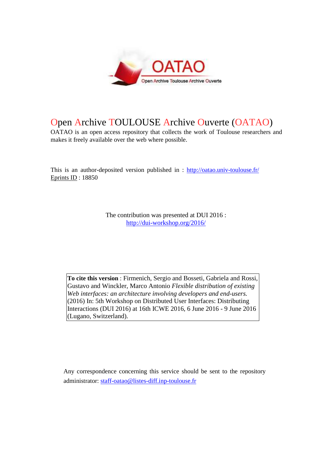

# Open Archive TOULOUSE Archive Ouverte (OATAO)

OATAO is an open access repository that collects the work of Toulouse researchers and makes it freely available over the web where possible.

This is an author-deposited version published in : http://oatao.univ-toulouse.fr/ Eprints ID : 18850

> The contribution was presented at DUI 2016 : http://dui-workshop.org/2016/

**To cite this version** : Firmenich, Sergio and Bosseti, Gabriela and Rossi, Gustavo and Winckler, Marco Antonio *Flexible distribution of existing Web interfaces: an architecture involving developers and end-users.* (2016) In: 5th Workshop on Distributed User Interfaces: Distributing Interactions (DUI 2016) at 16th ICWE 2016, 6 June 2016 - 9 June 2016 (Lugano, Switzerland).

Any correspondence concerning this service should be sent to the repository administrator: staff-oatao@listes-diff.inp-toulouse.fr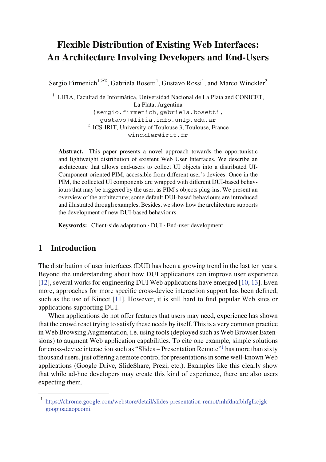# **Flexible Distribution of Existing Web Interfaces: An Architecture Involving Developers and End-Users**

Sergio Firmenich<sup>1( $\boxtimes$ )</sup>, Gabriela Bosetti<sup>1</sup>, Gustavo Rossi<sup>1</sup>, and Marco Winckler<sup>2</sup>

<sup>1</sup> LIFIA, Facultad de Informática, Universidad Nacional de La Plata and CONICET, La Plata, Argentina {sergio.firmenich,gabriela.bosetti,

gustavo}@lifia.info.unlp.edu.ar <sup>2</sup> ICS-IRIT, University of Toulouse 3, Toulouse, France winckler@irit.fr

**Abstract.** This paper presents a novel approach towards the opportunistic and lightweight distribution of existent Web User Interfaces. We describe an architecture that allows end-users to collect UI objects into a distributed UI-Component-oriented PIM, accessible from different user's devices. Once in the PIM, the collected UI components are wrapped with different DUI-based behaviours that may be triggered by the user, as PIM's objects plug-ins. We present an overview of the architecture; some default DUI-based behaviours are introduced and illustrated through examples. Besides, we show how the architecture supports the development of new DUI-based behaviours.

**Keywords:** Client-side adaptation · DUI · End-user development

#### **1 Introduction**

The distribution of user interfaces (DUI) has been a growing trend in the last ten years. Beyond the understanding about how DUI applications can improve user experience [12], several works for engineering DUI Web applications have emerged [10, 13]. Even more, approaches for more specific cross-device interaction support has been defined, such as the use of Kinect [11]. However, it is still hard to find popular Web sites or applications supporting DUI.

When applications do not offer features that users may need, experience has shown that the crowd react trying to satisfy these needs by itself. This is a very common practice in Web Browsing Augmentation, i.e. using tools (deployed such as Web Browser Extensions) to augment Web application capabilities. To cite one example, simple solutions for cross-device interaction such as "Slides – Presentation Remote"<sup>1</sup> has more than sixty thousand users, just offering a remote control for presentations in some well-known Web applications (Google Drive, SlideShare, Prezi, etc.). Examples like this clearly show that while ad-hoc developers may create this kind of experience, there are also users expecting them.

<sup>&</sup>lt;sup>1</sup> https://chrome.google.com/webstore/detail/slides-presentation-remot/mhfdnafbhfglkcjgkgoopjoadaopcomi.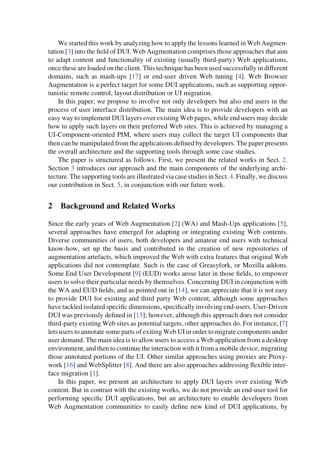We started this work by analyzing how to apply the lessons learned in Web Augmentation [3] into the field of DUI. Web Augmentation comprises those approaches that aim to adapt content and functionality of existing (usually third-party) Web applications, once these are loaded on the client. This technique has been used successfully in different domains, such as mash-ups [17] or end-user driven Web tuning [4]. Web Browser Augmentation is a perfect target for some DUI applications, such as supporting oppor‐ tunistic remote control, layout distribution or UI migration.

In this paper, we propose to involve not only developers but also end users in the process of user interface distribution. The main idea is to provide developers with an easy way to implement DUI layers over existing Web pages, while end users may decide how to apply such layers on their preferred Web sites. This is achieved by managing a UI-Component-oriented PIM, where users may collect the target UI components that then can be manipulated from the applications defined by developers. The paper presents the overall architecture and the supporting tools through some case studies.

The paper is structured as follows. First, we present the related works in Sect. 2. Section 3 introduces our approach and the main components of the underlying architecture. The supporting tools are illustrated via case studies in Sect. 4. Finally, we discuss our contribution in Sect. 5, in conjunction with our future work.

#### **2 Background and Related Works**

Since the early years of Web Augmentation [2] (WA) and Mash-Ups applications [5], several approaches have emerged for adapting or integrating existing Web contents. Diverse communities of users, both developers and amateur end users with technical know-how, set up the basis and contributed in the creation of new repositories of augmentation artefacts, which improved the Web with extra features that original Web applications did not contemplate. Such is the case of Greasyfork, or Mozilla addons. Some End User Development [9] (EUD) works arose later in those fields, to empower users to solve their particular needs by themselves. Concerning DUI in conjunction with the WA and EUD fields, and as pointed out in [14], we can appreciate that it is not easy to provide DUI for existing and third party Web content, although some approaches have tackled isolated specific dimensions, specifically involving end-users. User-Driven DUI was previously defined in [15]; however, although this approach does not consider third-party existing Web sites as potential targets, other approaches do. For instance, [7] lets users to annotate some parts of exiting Web UI in order to migrate components under user demand. The main idea is to allow users to access a Web application from a desktop environment, and then to continue the interaction with it from a mobile device, migrating those annotated portions of the UI. Other similar approaches using proxies are Proxy‐ work [16] and WebSplitter [8]. And there are also approaches addressing flexible interface migration [1].

In this paper, we present an architecture to apply DUI layers over existing Web content. But in contrast with the existing works, we do not provide an end-user tool for performing specific DUI applications, but an architecture to enable developers from Web Augmentation communities to easily define new kind of DUI applications, by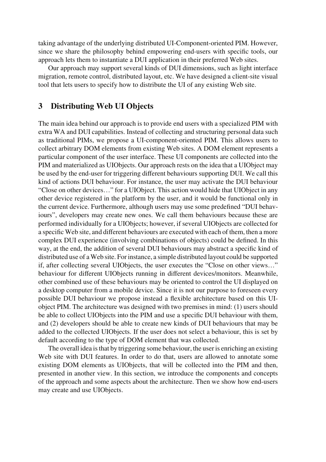taking advantage of the underlying distributed UI-Component-oriented PIM. However, since we share the philosophy behind empowering end-users with specific tools, our approach lets them to instantiate a DUI application in their preferred Web sites.

Our approach may support several kinds of DUI dimensions, such as light interface migration, remote control, distributed layout, etc. We have designed a client-site visual tool that lets users to specify how to distribute the UI of any existing Web site.

## **3 Distributing Web UI Objects**

The main idea behind our approach is to provide end users with a specialized PIM with extra WA and DUI capabilities. Instead of collecting and structuring personal data such as traditional PIMs, we propose a UI-component-oriented PIM. This allows users to collect arbitrary DOM elements from existing Web sites. A DOM element represents a particular component of the user interface. These UI components are collected into the PIM and materialized as UIObjects. Our approach rests on the idea that a UIObject may be used by the end-user for triggering different behaviours supporting DUI. We call this kind of actions DUI behaviour. For instance, the user may activate the DUI behaviour "Close on other devices…" for a UIObject. This action would hide that UIObject in any other device registered in the platform by the user, and it would be functional only in the current device. Furthermore, although users may use some predefined "DUI behaviours", developers may create new ones. We call them behaviours because these are performed individually for a UIObjects; however, if several UIObjects are collected for a specific Web site, and different behaviours are executed with each of them, then a more complex DUI experience (involving combinations of objects) could be defined. In this way, at the end, the addition of several DUI behaviours may abstract a specific kind of distributed use of a Web site. For instance, a simple distributed layout could be supported if, after collecting several UIObjects, the user executes the "Close on other views…" behaviour for different UIObjects running in different devices/monitors. Meanwhile, other combined use of these behaviours may be oriented to control the UI displayed on a desktop computer from a mobile device. Since it is not our purpose to foreseen every possible DUI behaviour we propose instead a flexible architecture based on this UIobject PIM. The architecture was designed with two premises in mind: (1) users should be able to collect UIObjects into the PIM and use a specific DUI behaviour with them, and (2) developers should be able to create new kinds of DUI behaviours that may be added to the collected UIObjects. If the user does not select a behaviour, this is set by default according to the type of DOM element that was collected.

The overall idea is that by triggering some behaviour, the user is enriching an existing Web site with DUI features. In order to do that, users are allowed to annotate some existing DOM elements as UIObjects, that will be collected into the PIM and then, presented in another view. In this section, we introduce the components and concepts of the approach and some aspects about the architecture. Then we show how end-users may create and use UIObjects.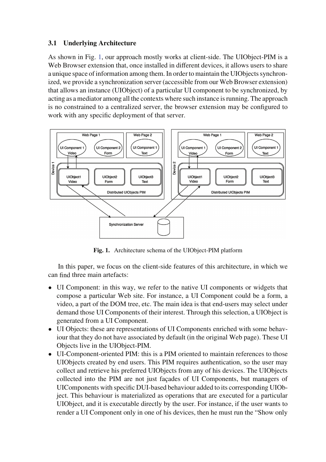#### **3.1 Underlying Architecture**

As shown in Fig. 1, our approach mostly works at client-side. The UIObject-PIM is a Web Browser extension that, once installed in different devices, it allows users to share a unique space of information among them. In order to maintain the UIObjects synchron‐ ized, we provide a synchronization server (accessible from our Web Browser extension) that allows an instance (UIObject) of a particular UI component to be synchronized, by acting as a mediator among all the contexts where such instance is running. The approach is no constrained to a centralized server, the browser extension may be configured to work with any specific deployment of that server.



**Fig. 1.** Architecture schema of the UIObject-PIM platform

In this paper, we focus on the client-side features of this architecture, in which we can find three main artefacts:

- UI Component: in this way, we refer to the native UI components or widgets that compose a particular Web site. For instance, a UI Component could be a form, a video, a part of the DOM tree, etc. The main idea is that end-users may select under demand those UI Components of their interest. Through this selection, a UIObject is generated from a UI Component.
- UI Objects: these are representations of UI Components enriched with some behaviour that they do not have associated by default (in the original Web page). These UI Objects live in the UIObject-PIM.
- UI-Component-oriented PIM: this is a PIM oriented to maintain references to those UIObjects created by end users. This PIM requires authentication, so the user may collect and retrieve his preferred UIObjects from any of his devices. The UIObjects collected into the PIM are not just façades of UI Components, but managers of UIComponents with specific DUI-based behaviour added to its corresponding UIOb‐ ject. This behaviour is materialized as operations that are executed for a particular UIObject, and it is executable directly by the user. For instance, if the user wants to render a UI Component only in one of his devices, then he must run the "Show only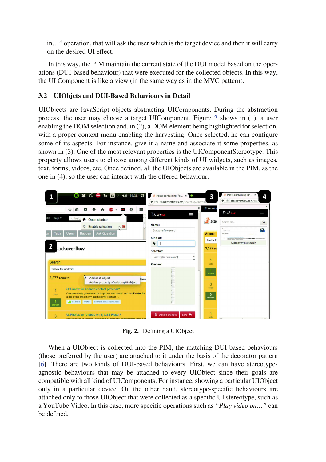in…" operation, that will ask the user which is the target device and then it will carry on the desired UI effect.

In this way, the PIM maintain the current state of the DUI model based on the operations (DUI-based behaviour) that were executed for the collected objects. In this way, the UI Component is like a view (in the same way as in the MVC pattern).

#### **3.2 UIObjets and DUI-Based Behaviours in Detail**

UIObjects are JavaScript objects abstracting UIComponents. During the abstraction process, the user may choose a target UIComponent. Figure 2 shows in (1), a user enabling the DOM selection and, in (2), a DOM element being highlighted for selection, with a proper context menu enabling the harvesting. Once selected, he can configure some of its aspects. For instance, give it a name and associate it some properties, as shown in (3). One of the most relevant properties is the UIComponentStereotype. This property allows users to choose among different kinds of UI widgets, such as images, text, forms, videos, etc. Once defined, all the UIObjects are available in the PIM, as the one in (4), so the user can interact with the offered behaviour.



**Fig. 2.** Defining a UIObject

When a UIObject is collected into the PIM, the matching DUI-based behaviours (those preferred by the user) are attached to it under the basis of the decorator pattern [6]. There are two kinds of DUI-based behaviours. First, we can have stereotypeagnostic behaviours that may be attached to every UIObject since their goals are compatible with all kind of UIComponents. For instance, showing a particular UIObject only in a particular device. On the other hand, stereotype-specific behaviours are attached only to those UIObject that were collected as a specific UI stereotype, such as a YouTube Video. In this case, more specific operations such as *"Play video on…"* can be defined.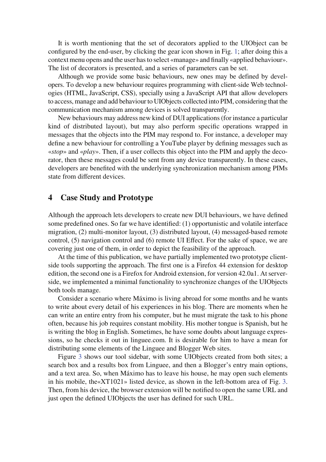It is worth mentioning that the set of decorators applied to the UIObject can be configured by the end-user, by clicking the gear icon shown in Fig. 1; after doing this a context menu opens and the user has to select «manage» and finally «applied behaviour». The list of decorators is presented, and a series of parameters can be set.

Although we provide some basic behaviours, new ones may be defined by devel‐ opers. To develop a new behaviour requires programming with client-side Web technol‐ ogies (HTML, JavaScript, CSS), specially using a JavaScript API that allow developers to access, manage and add behaviour to UIObjects collected into PIM, considering that the communication mechanism among devices is solved transparently.

New behaviours may address new kind of DUI applications (for instance a particular kind of distributed layout), but may also perform specific operations wrapped in messages that the objects into the PIM may respond to. For instance, a developer may define a new behaviour for controlling a YouTube player by defining messages such as «*stop*» and «*play*». Then, if a user collects this object into the PIM and apply the deco‐ rator, then these messages could be sent from any device transparently. In these cases, developers are benefited with the underlying synchronization mechanism among PIMs state from different devices.

#### **4 Case Study and Prototype**

Although the approach lets developers to create new DUI behaviours, we have defined some predefined ones. So far we have identified: (1) opportunistic and volatile interface migration, (2) multi-monitor layout, (3) distributed layout, (4) messaged-based remote control, (5) navigation control and (6) remote UI Effect. For the sake of space, we are covering just one of them, in order to depict the feasibility of the approach.

At the time of this publication, we have partially implemented two prototype clientside tools supporting the approach. The first one is a Firefox 44 extension for desktop edition, the second one is a Firefox for Android extension, for version 42.0a1. At serverside, we implemented a minimal functionality to synchronize changes of the UIObjects both tools manage.

Consider a scenario where Máximo is living abroad for some months and he wants to write about every detail of his experiences in his blog. There are moments when he can write an entire entry from his computer, but he must migrate the task to his phone often, because his job requires constant mobility. His mother tongue is Spanish, but he is writing the blog in English. Sometimes, he have some doubts about language expres‐ sions, so he checks it out in linguee.com. It is desirable for him to have a mean for distributing some elements of the Linguee and Blogger Web sites.

Figure 3 shows our tool sidebar, with some UIObjects created from both sites; a search box and a results box from Linguee, and then a Blogger's entry main options, and a text area. So, when Máximo has to leave his house, he may open such elements in his mobile, the«XT1021» listed device, as shown in the left-bottom area of Fig. 3. Then, from his device, the browser extension will be notified to open the same URL and just open the defined UIObjects the user has defined for such URL.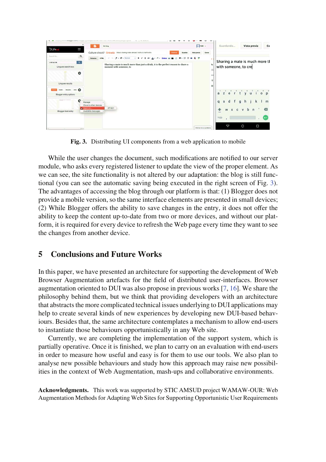

Fig. 3. Distributing UI components from a web application to mobile

While the user changes the document, such modifications are notified to our server module, who asks every registered listener to update the view of the proper element. As we can see, the site functionality is not altered by our adaptation: the blog is still functional (you can see the automatic saving being executed in the right screen of Fig. 3). The advantages of accessing the blog through our platform is that: (1) Blogger does not provide a mobile version, so the same interface elements are presented in small devices; (2) While Blogger offers the ability to save changes in the entry, it does not offer the ability to keep the content up-to-date from two or more devices, and without our plat‐ form, it is required for every device to refresh the Web page every time they want to see the changes from another device.

## **5 Conclusions and Future Works**

In this paper, we have presented an architecture for supporting the development of Web Browser Augmentation artefacts for the field of distributed user-interfaces. Browser augmentation oriented to DUI was also propose in previous works [7, 16]. We share the philosophy behind them, but we think that providing developers with an architecture that abstracts the more complicated technical issues underlying to DUI applications may help to create several kinds of new experiences by developing new DUI-based behaviours. Besides that, the same architecture contemplates a mechanism to allow end-users to instantiate those behaviours opportunistically in any Web site.

Currently, we are completing the implementation of the support system, which is partially operative. Once it is finished, we plan to carry on an evaluation with end-users in order to measure how useful and easy is for them to use our tools. We also plan to analyse new possible behaviours and study how this approach may raise new possibilities in the context of Web Augmentation, mash-ups and collaborative environments.

**Acknowledgments.** This work was supported by STIC AMSUD project WAMAW-OUR: Web Augmentation Methods for Adapting Web Sites for Supporting Opportunistic User Requirements